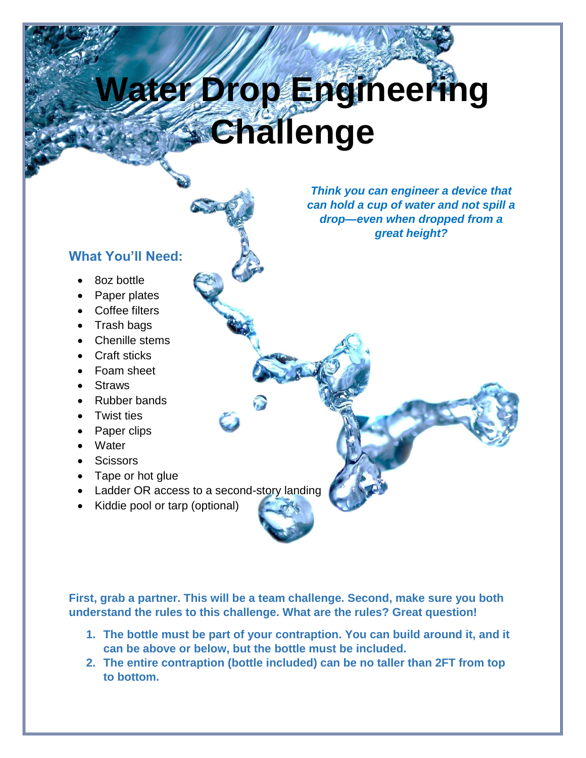## **Water Drop Engineering Challenge**

**What You'll Need:**

- 8oz bottle
- Paper plates
- Coffee filters
- Trash bags
- Chenille stems
- Craft sticks
- Foam sheet
- Straws
- Rubber bands
- Twist ties
- Paper clips
- Water
- **Scissors**
- Tape or hot glue
- Ladder OR access to a second-story landing
- Kiddie pool or tarp (optional)

*Think you can engineer a device that can hold a cup of water and not spill a drop—even when dropped from a great height?*

**First, grab a partner. This will be a team challenge. Second, make sure you both understand the rules to this challenge. What are the rules? Great question!** 

- **1. The bottle must be part of your contraption. You can build around it, and it can be above or below, but the bottle must be included.**
- **2. The entire contraption (bottle included) can be no taller than 2FT from top to bottom.**